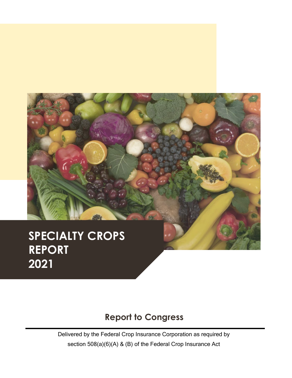

#### **SPECIALTY CROP** *DEDORT* **2021 SPECIALTY CROPS REPORT 2021**

## **Report to Congress**

Delivered by the Federal Crop Insurance Corporation as required by section 508(a)(6)(A) & (B) of the Federal Crop Insurance Act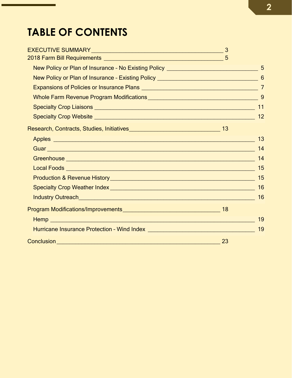## **TABLE OF CONTENTS**

| Specialty Crop Liaisons <b>contained a manufacture of the Container Container and Containers</b> | 11 |
|--------------------------------------------------------------------------------------------------|----|
|                                                                                                  | 12 |
|                                                                                                  |    |
|                                                                                                  |    |
|                                                                                                  |    |
|                                                                                                  | 14 |
|                                                                                                  | 15 |
|                                                                                                  |    |
| Specialty Crop Weather Index<br><u>Specialty Crop Weather Index</u>                              | 16 |
|                                                                                                  | 16 |
|                                                                                                  |    |
|                                                                                                  | 19 |
|                                                                                                  | 19 |
|                                                                                                  |    |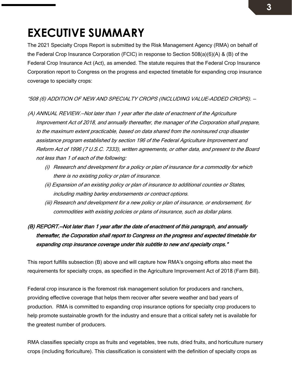## **3**

## <span id="page-2-0"></span>**EXECUTIVE SUMMARY**

The 2021 Specialty Crops Report is submitted by the Risk Management Agency (RMA) on behalf of the Federal Crop Insurance Corporation (FCIC) in response to Section 508(a)(6)(A) & (B) of the Federal Crop Insurance Act (Act), as amended. The statute requires that the Federal Crop Insurance Corporation report to Congress on the progress and expected timetable for expanding crop insurance coverage to specialty crops:

#### "508 (6) ADDITION OF NEW AND SPECIALTY CROPS (INCLUDING VALUE-ADDED CROPS). —

- (A) ANNUAL REVIEW.—Not later than 1 year after the date of enactment of the Agriculture Improvement Act of 2018, and annually thereafter, the manager of the Corporation shall prepare, to the maximum extent practicable, based on data shared from the noninsured crop disaster assistance program established by section 196 of the Federal Agriculture Improvement and Reform Act of 1996 (7 U.S.C. 7333), written agreements, or other data, and present to the Board not less than 1 of each of the following:
	- (i) Research and development for a policy or plan of insurance for a commodity for which there is no existing policy or plan of insurance.
	- (ii) Expansion of an existing policy or plan of insurance to additional counties or States, including malting barley endorsements or contract options.
	- (iii) Research and development for a new policy or plan of insurance, or endorsement, for commodities with existing policies or plans of insurance, such as dollar plans.

## (B) REPORT.—Not later than 1 year after the date of enactment of this paragraph, and annually thereafter, the Corporation shall report to Congress on the progress and expected timetable for expanding crop insurance coverage under this subtitle to new and specialty crops."

This report fulfills subsection (B) above and will capture how RMA's ongoing efforts also meet the requirements for specialty crops, as specified in the Agriculture Improvement Act of 2018 (Farm Bill).

Federal crop insurance is the foremost risk management solution for producers and ranchers, providing effective coverage that helps them recover after severe weather and bad years of production. RMA is committed to expanding crop insurance options for specialty crop producers to help promote sustainable growth for the industry and ensure that a critical safety net is available for the greatest number of producers.

RMA classifies specialty crops as fruits and vegetables, tree nuts, dried fruits, and horticulture nursery crops (including floriculture). This classification is consistent with the definition of specialty crops as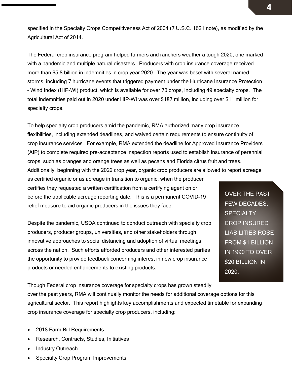specified in the Specialty Crops Competitiveness Act of 2004 (7 U.S.C. 1621 note), as modified by the Agricultural Act of 2014.

The Federal crop insurance program helped farmers and ranchers weather a tough 2020, one marked with a pandemic and multiple natural disasters. Producers with crop insurance coverage received more than \$5.8 billion in indemnities in crop year 2020. The year was beset with several named storms, including 7 hurricane events that triggered payment under the Hurricane Insurance Protection – Wind Index (HIP-WI) product, which is available for over 70 crops, including 49 specialty crops. The total indemnities paid out in 2020 under HIP-WI was over \$187 million, including over \$11 million for specialty crops.

To help specialty crop producers amid the pandemic, RMA authorized many crop insurance flexibilities, including extended deadlines, and waived certain requirements to ensure continuity of crop insurance services. For example, RMA extended the deadline for Approved Insurance Providers (AIP) to complete required pre-acceptance inspection reports used to establish insurance of perennial crops, such as oranges and orange trees as well as pecans and Florida citrus fruit and trees.

Additionally, beginning with the 2022 crop year, organic crop producers are allowed to report acreage

as certified organic or as acreage in transition to organic, when the producer certifies they requested a written certification from a certifying agent on or before the applicable acreage reporting date. This is a permanent COVID-19 relief measure to aid organic producers in the issues they face.

Despite the pandemic, USDA continued to conduct outreach with specialty crop producers, producer groups, universities, and other stakeholders through innovative approaches to social distancing and adoption of virtual meetings across the nation. Such efforts afforded producers and other interested parties the opportunity to provide feedback concerning interest in new crop insurance products or needed enhancements to existing products.

OVER THE PAST FEW DECADES, **SPECIALTY** CROP INSURED LIABILITIES ROSE FROM \$1 BILLION IN 1990 TO OVER \$20 BILLION IN 2020.

Though Federal crop insurance coverage for specialty crops has grown steadily

over the past years, RMA will continually monitor the needs for additional coverage options for this agricultural sector. This report highlights key accomplishments and expected timetable for expanding crop insurance coverage for specialty crop producers, including:

- 2018 Farm Bill Requirements
- Research, Contracts, Studies, Initiatives
- Industry Outreach
- **Specialty Crop Program Improvements**

**4**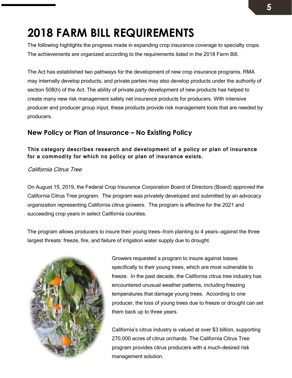## <span id="page-4-0"></span>**2018 FARM BILL REQUIREMENTS**

The following highlights the progress made in expanding crop insurance coverage to specialty crops. The achievements are organized according to the requirements listed in the 2018 Farm Bill.

The Act has established two pathways for the development of new crop insurance programs. RMA may internally develop products, and private parties may also develop products under the authority of section 508(h) of the Act. The ability of private party development of new products has helped to create many new risk management safety net insurance products for producers. With intensive producer and producer group input, these products provide risk management tools that are needed by producers.

### <span id="page-4-1"></span>**New Policy or Plan of Insurance – No Existing Policy**

#### This category describes research and development of a policy or plan of insurance for a commodity for which no policy or plan of insurance exists.

#### California Citrus Tree

On August 15, 2019, the Federal Crop Insurance Corporation Board of Directors (Board) approved the California Citrus Tree program. The program was privately developed and submitted by an advocacy organization representing California citrus growers. The program is effective for the 2021 and succeeding crop years in select California counties.

The program allows producers to insure their young trees—from planting to 4 years—against the three largest threats: freeze, fire, and failure of irrigation water supply due to drought.



Growers requested a program to insure against losses specifically to their young trees, which are most vulnerable to freeze. In the past decade, the California citrus tree industry has encountered unusual weather patterns, including freezing temperatures that damage young trees. According to one producer, the loss of young trees due to freeze or drought can set them back up to three years.

California's citrus industry is valued at over \$3 billion, supporting 270,000 acres of citrus orchards. The California Citrus Tree program provides citrus producers with a much-desired risk management solution.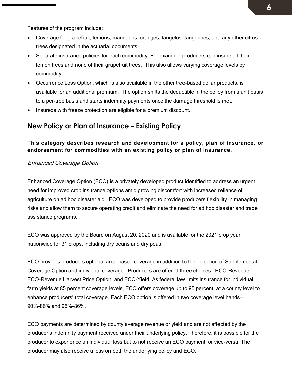Features of the program include:

- Coverage for grapefruit, lemons, mandarins, oranges, tangelos, tangerines, and any other citrus trees designated in the actuarial documents
- Separate insurance policies for each commodity. For example, producers can insure all their lemon trees and none of their grapefruit trees. This also allows varying coverage levels by commodity.
- Occurrence Loss Option, which is also available in the other tree-based dollar products, is available for an additional premium. The option shifts the deductible in the policy from a unit basis to a per-tree basis and starts indemnity payments once the damage threshold is met.
- Insureds with freeze protection are eligible for a premium discount.

### <span id="page-5-0"></span>**New Policy or Plan of Insurance – Existing Policy**

#### This category describes research and development for a policy, plan of insurance, or endorsement for commodities with an existing policy or plan of insurance.

#### Enhanced Coverage Option

Enhanced Coverage Option (ECO) is a privately developed product identified to address an urgent need for improved crop insurance options amid growing discomfort with increased reliance of agriculture on ad hoc disaster aid. ECO was developed to provide producers flexibility in managing risks and allow them to secure operating credit and eliminate the need for ad hoc disaster and trade assistance programs.

ECO was approved by the Board on August 20, 2020 and is available for the 2021 crop year nationwide for 31 crops, including dry beans and dry peas.

ECO provides producers optional area-based coverage in addition to their election of Supplemental Coverage Option and individual coverage. Producers are offered three choices: ECO-Revenue, ECO-Revenue Harvest Price Option, and ECO-Yield. As federal law limits insurance for individual farm yields at 85 percent coverage levels, ECO offers coverage up to 95 percent, at a county level to enhance producers' total coverage. Each ECO option is offered in two coverage level bands— 90%-86% and 95%-86%.

ECO payments are determined by county average revenue or yield and are not affected by the producer's indemnity payment received under their underlying policy. Therefore, it is possible for the producer to experience an individual loss but to not receive an ECO payment, or vice-versa. The producer may also receive a loss on both the underlying policy and ECO.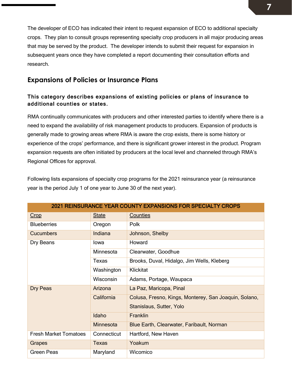The developer of ECO has indicated their intent to request expansion of ECO to additional specialty crops. They plan to consult groups representing specialty crop producers in all major producing areas that may be served by the product. The developer intends to submit their request for expansion in subsequent years once they have completed a report documenting their consultation efforts and research.

### <span id="page-6-0"></span>**Expansions of Policies or Insurance Plans**

#### This category describes expansions of existing policies or plans of insurance to additional counties or states.

RMA continually communicates with producers and other interested parties to identify where there is a need to expand the availability of risk management products to producers. Expansion of products is generally made to growing areas where RMA is aware the crop exists, there is some history or experience of the crops' performance, and there is significant grower interest in the product. Program expansion requests are often initiated by producers at the local level and channeled through RMA's Regional Offices for approval.

Following lists expansions of specialty crop programs for the 2021 reinsurance year (a reinsurance year is the period July 1 of one year to June 30 of the next year).

| <b>2021 REINSURANCE YEAR COUNTY EXPANSIONS FOR SPECIALTY CROPS</b> |                  |                                                       |  |
|--------------------------------------------------------------------|------------------|-------------------------------------------------------|--|
| Crop                                                               | <b>State</b>     | <b>Counties</b>                                       |  |
| <b>Blueberries</b>                                                 | Oregon           | Polk                                                  |  |
| <b>Cucumbers</b>                                                   | Indiana          | Johnson, Shelby                                       |  |
| Dry Beans                                                          | lowa             | Howard                                                |  |
|                                                                    | Minnesota        | Clearwater, Goodhue                                   |  |
|                                                                    | Texas            | Brooks, Duval, Hidalgo, Jim Wells, Kleberg            |  |
|                                                                    | Washington       | <b>Klickitat</b>                                      |  |
|                                                                    | <b>Wisconsin</b> | Adams, Portage, Waupaca                               |  |
| Dry Peas                                                           | Arizona          | La Paz, Maricopa, Pinal                               |  |
|                                                                    | California       | Colusa, Fresno, Kings, Monterey, San Joaquin, Solano, |  |
|                                                                    |                  | Stanislaus, Sutter, Yolo                              |  |
|                                                                    | Idaho            | Franklin                                              |  |
|                                                                    | <b>Minnesota</b> | Blue Earth, Clearwater, Faribault, Norman             |  |
| <b>Fresh Market Tomatoes</b>                                       | Connecticut      | Hartford, New Haven                                   |  |
| Grapes                                                             | <b>Texas</b>     | Yoakum                                                |  |
| Green Peas                                                         | Maryland         | Wicomico                                              |  |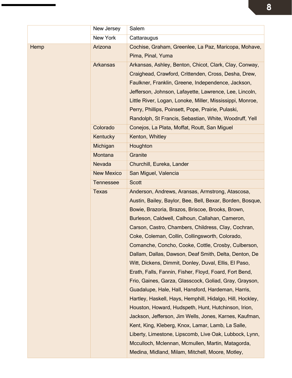|      | New Jersey        | Salem                                                                     |  |
|------|-------------------|---------------------------------------------------------------------------|--|
|      | New York          | Cattaraugus                                                               |  |
| Hemp | Arizona           | Cochise, Graham, Greenlee, La Paz, Maricopa, Mohave,<br>Pima, Pinal, Yuma |  |
|      |                   |                                                                           |  |
|      | <b>Arkansas</b>   | Arkansas, Ashley, Benton, Chicot, Clark, Clay, Conway,                    |  |
|      |                   | Craighead, Crawford, Crittenden, Cross, Desha, Drew,                      |  |
|      |                   | Faulkner, Franklin, Greene, Independence, Jackson,                        |  |
|      |                   | Jefferson, Johnson, Lafayette, Lawrence, Lee, Lincoln,                    |  |
|      |                   | Little River, Logan, Lonoke, Miller, Mississippi, Monroe,                 |  |
|      |                   | Perry, Phillips, Poinsett, Pope, Prairie, Pulaski,                        |  |
|      |                   | Randolph, St Francis, Sebastian, White, Woodruff, Yell                    |  |
|      | Colorado          | Conejos, La Plata, Moffat, Routt, San Miguel                              |  |
|      | Kentucky          | Kenton, Whitley                                                           |  |
|      | Michigan          | Houghton                                                                  |  |
|      | Montana           | Granite                                                                   |  |
|      | Nevada            | Churchill, Eureka, Lander                                                 |  |
|      | <b>New Mexico</b> | San Miguel, Valencia                                                      |  |
|      | <b>Tennessee</b>  | <b>Scott</b>                                                              |  |
|      | <b>Texas</b>      | Anderson, Andrews, Aransas, Armstrong, Atascosa,                          |  |
|      |                   | Austin, Bailey, Baylor, Bee, Bell, Bexar, Borden, Bosque,                 |  |
|      |                   | Bowie, Brazoria, Brazos, Briscoe, Brooks, Brown,                          |  |
|      |                   | Burleson, Caldwell, Calhoun, Callahan, Cameron,                           |  |
|      |                   | Carson, Castro, Chambers, Childress, Clay, Cochran,                       |  |
|      |                   | Coke, Coleman, Collin, Collingsworth, Colorado,                           |  |
|      |                   | Comanche, Concho, Cooke, Cottle, Crosby, Culberson,                       |  |
|      |                   | Dallam, Dallas, Dawson, Deaf Smith, Delta, Denton, De                     |  |
|      |                   | Witt, Dickens, Dimmit, Donley, Duval, Ellis, El Paso,                     |  |
|      |                   | Erath, Falls, Fannin, Fisher, Floyd, Foard, Fort Bend,                    |  |
|      |                   | Frio, Gaines, Garza, Glasscock, Goliad, Gray, Grayson,                    |  |
|      |                   | Guadalupe, Hale, Hall, Hansford, Hardeman, Harris,                        |  |
|      |                   | Hartley, Haskell, Hays, Hemphill, Hidalgo, Hill, Hockley,                 |  |
|      |                   | Houston, Howard, Hudspeth, Hunt, Hutchinson, Irion,                       |  |
|      |                   | Jackson, Jefferson, Jim Wells, Jones, Karnes, Kaufman,                    |  |
|      |                   | Kent, King, Kleberg, Knox, Lamar, Lamb, La Salle,                         |  |
|      |                   | Liberty, Limestone, Lipscomb, Live Oak, Lubbock, Lynn,                    |  |
|      |                   | Mcculloch, Mclennan, Mcmullen, Martin, Matagorda,                         |  |
|      |                   | Medina, Midland, Milam, Mitchell, Moore, Motley,                          |  |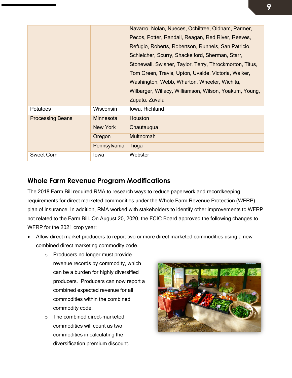|                         |              | Navarro, Nolan, Nueces, Ochiltree, Oldham, Parmer,<br>Pecos, Potter, Randall, Reagan, Red River, Reeves,<br>Refugio, Roberts, Robertson, Runnels, San Patricio,<br>Schleicher, Scurry, Shackelford, Sherman, Starr,<br>Stonewall, Swisher, Taylor, Terry, Throckmorton, Titus,<br>Tom Green, Travis, Upton, Uvalde, Victoria, Walker,<br>Washington, Webb, Wharton, Wheeler, Wichita,<br>Wilbarger, Willacy, Williamson, Wilson, Yoakum, Young,<br>Zapata, Zavala |
|-------------------------|--------------|-------------------------------------------------------------------------------------------------------------------------------------------------------------------------------------------------------------------------------------------------------------------------------------------------------------------------------------------------------------------------------------------------------------------------------------------------------------------|
| Potatoes                | Wisconsin    | lowa, Richland                                                                                                                                                                                                                                                                                                                                                                                                                                                    |
| <b>Processing Beans</b> | Minnesota    | Houston                                                                                                                                                                                                                                                                                                                                                                                                                                                           |
|                         | New York     | Chautauqua                                                                                                                                                                                                                                                                                                                                                                                                                                                        |
|                         | Oregon       | <b>Multnomah</b>                                                                                                                                                                                                                                                                                                                                                                                                                                                  |
|                         | Pennsylvania | Tioga                                                                                                                                                                                                                                                                                                                                                                                                                                                             |
| <b>Sweet Corn</b>       | lowa         | Webster                                                                                                                                                                                                                                                                                                                                                                                                                                                           |

## <span id="page-8-0"></span>**Whole Farm Revenue Program Modifications**

The 2018 Farm Bill required RMA to research ways to reduce paperwork and recordkeeping requirements for direct marketed commodities under the Whole Farm Revenue Protection (WFRP) plan of insurance. In addition, RMA worked with stakeholders to identify other improvements to WFRP not related to the Farm Bill. On August 20, 2020, the FCIC Board approved the following changes to WFRP for the 2021 crop year:

- Allow direct market producers to report two or more direct marketed commodities using a new combined direct marketing commodity code.
	- o Producers no longer must provide revenue records by commodity, which can be a burden for highly diversified producers. Producers can now report a combined expected revenue for all commodities within the combined commodity code.
	- o The combined direct-marketed commodities will count as two commodities in calculating the diversification premium discount.

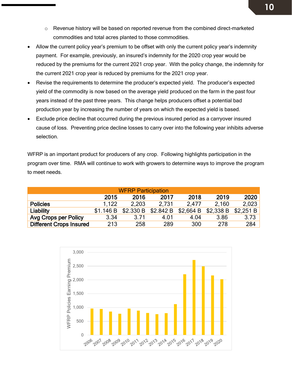- o Revenue history will be based on reported revenue from the combined direct-marketed commodities and total acres planted to those commodities.
- Allow the current policy year's premium to be offset with only the current policy year's indemnity payment. For example, previously, an insured's indemnity for the 2020 crop year would be reduced by the premiums for the current 2021 crop year. With the policy change, the indemnity for the current 2021 crop year is reduced by premiums for the 2021 crop year.
- Revise the requirements to determine the producer's expected yield. The producer's expected yield of the commodity is now based on the average yield produced on the farm in the past four years instead of the past three years. This change helps producers offset a potential bad production year by increasing the number of years on which the expected yield is based.
- Exclude price decline that occurred during the previous insured period as a carryover insured cause of loss. Preventing price decline losses to carry over into the following year inhibits adverse selection.

WFRP is an important product for producers of any crop. Following highlights participation in the program over time. RMA will continue to work with growers to determine ways to improve the program to meet needs.

| <b>WFRP Participation</b>      |           |                     |       |                       |       |           |
|--------------------------------|-----------|---------------------|-------|-----------------------|-------|-----------|
|                                | 2015      | 2016                | 2017  | 2018                  | 2019  | 2020      |
| <b>Policies</b>                | 1.122     | 2.203               | 2.731 | 2.477                 | 2.160 | 2,023     |
| Liability                      | \$1.146 B | \$2.330 B \$2.842 B |       | $$2,664 B$ $$2,338 B$ |       | \$2,251 B |
| <b>Avg Crops per Policy</b>    | 3.34      | 3.71                | 4.01  | 4.04                  | 3.86  | 3.73      |
| <b>Different Crops Insured</b> | 213       | 258                 | 289   | 300                   | 278   | 284       |

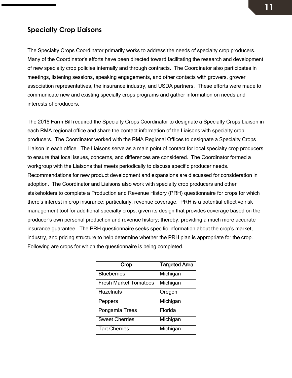## <span id="page-10-0"></span>**Specialty Crop Liaisons**

The Specialty Crops Coordinator primarily works to address the needs of specialty crop producers. Many of the Coordinator's efforts have been directed toward facilitating the research and development of new specialty crop policies internally and through contracts. The Coordinator also participates in meetings, listening sessions, speaking engagements, and other contacts with growers, grower association representatives, the insurance industry, and USDA partners. These efforts were made to communicate new and existing specialty crops programs and gather information on needs and interests of producers.

The 2018 Farm Bill required the Specialty Crops Coordinator to designate a Specialty Crops Liaison in each RMA regional office and share the contact information of the Liaisons with specialty crop producers. The Coordinator worked with the RMA Regional Offices to designate a Specialty Crops Liaison in each office. The Liaisons serve as a main point of contact for local specialty crop producers to ensure that local issues, concerns, and differences are considered. The Coordinator formed a workgroup with the Liaisons that meets periodically to discuss specific producer needs. Recommendations for new product development and expansions are discussed for consideration in adoption. The Coordinator and Liaisons also work with specialty crop producers and other stakeholders to complete a Production and Revenue History (PRH) questionnaire for crops for which there's interest in crop insurance; particularly, revenue coverage. PRH is a potential effective risk management tool for additional specialty crops, given its design that provides coverage based on the producer's own personal production and revenue history; thereby, providing a much more accurate insurance guarantee. The PRH questionnaire seeks specific information about the crop's market, industry, and pricing structure to help determine whether the PRH plan is appropriate for the crop. Following are crops for which the questionnaire is being completed.

| Crop                         | <b>Targeted Area</b> |
|------------------------------|----------------------|
| <b>Blueberries</b>           | Michigan             |
| <b>Fresh Market Tomatoes</b> | Michigan             |
| <b>Hazelnuts</b>             | Oregon               |
| Peppers                      | Michigan             |
| Pongamia Trees               | Florida              |
| <b>Sweet Cherries</b>        | Michigan             |
| <b>Tart Cherries</b>         | Michigan             |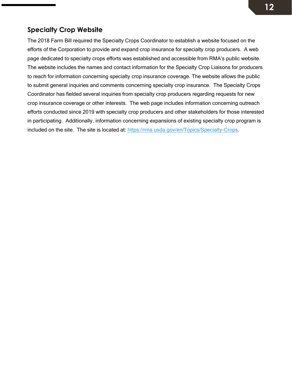## <span id="page-11-0"></span>**Specialty Crop Website**

The 2018 Farm Bill required the Specialty Crops Coordinator to establish a website focused on the efforts of the Corporation to provide and expand crop insurance for specialty crop producers. A web page dedicated to specialty crops efforts was established and accessible from RMA's public website. The website includes the names and contact information for the Specialty Crop Liaisons for producers to reach for information concerning specialty crop insurance coverage. The website allows the public to submit general inquiries and comments concerning specialty crop insurance. The Specialty Crops Coordinator has fielded several inquiries from specialty crop producers regarding requests for new crop insurance coverage or other interests. The web page includes information concerning outreach efforts conducted since 2019 with specialty crop producers and other stakeholders for those interested in participating. Additionally, information concerning expansions of existing specialty crop program is included on the site. The site is located at: [https://rma.usda.gov/en/Topics/Specialty-Crops.](https://rma.usda.gov/en/Topics/Specialty-Crops)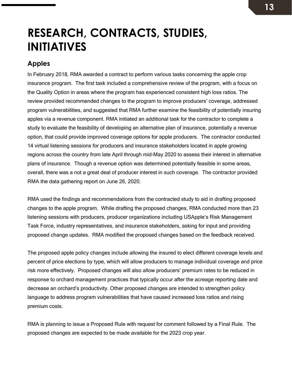## <span id="page-12-0"></span>**RESEARCH, CONTRACTS, STUDIES, INITIATIVES**

## <span id="page-12-1"></span>**Apples**

In February 2018, RMA awarded a contract to perform various tasks concerning the apple crop insurance program. The first task included a comprehensive review of the program, with a focus on the Quality Option in areas where the program has experienced consistent high loss ratios. The review provided recommended changes to the program to improve producers' coverage, addressed program vulnerabilities, and suggested that RMA further examine the feasibility of potentially insuring apples via a revenue component. RMA initiated an additional task for the contractor to complete a study to evaluate the feasibility of developing an alternative plan of insurance, potentially a revenue option, that could provide improved coverage options for apple producers. The contractor conducted 14 virtual listening sessions for producers and insurance stakeholders located in apple growing regions across the country from late April through mid-May 2020 to assess their interest in alternative plans of insurance. Though a revenue option was determined potentially feasible in some areas, overall, there was a not a great deal of producer interest in such coverage. The contractor provided RMA the data gathering report on June 26, 2020.

RMA used the findings and recommendations from the contracted study to aid in drafting proposed changes to the apple program. While drafting the proposed changes, RMA conducted more than 23 listening sessions with producers, producer organizations including USApple's Risk Management Task Force, industry representatives, and insurance stakeholders, asking for input and providing proposed change updates. RMA modified the proposed changes based on the feedback received.

The proposed apple policy changes include allowing the insured to elect different coverage levels and percent of price elections by type, which will allow producers to manage individual coverage and price risk more effectively. Proposed changes will also allow producers' premium rates to be reduced in response to orchard management practices that typically occur after the acreage reporting date and decrease an orchard's productivity. Other proposed changes are intended to strengthen policy language to address program vulnerabilities that have caused increased loss ratios and rising premium costs.

RMA is planning to issue a Proposed Rule with request for comment followed by a Final Rule. The proposed changes are expected to be made available for the 2023 crop year.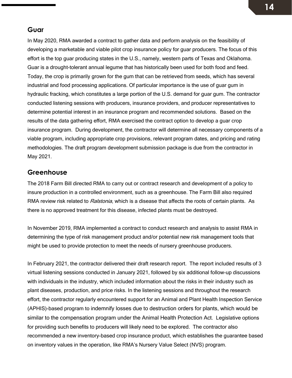#### <span id="page-13-0"></span>**Guar**

In May 2020, RMA awarded a contract to gather data and perform analysis on the feasibility of developing a marketable and viable pilot crop insurance policy for guar producers. The focus of this effort is the top guar producing states in the U.S., namely, western parts of Texas and Oklahoma. Guar is a drought-tolerant annual legume that has historically been used for both food and feed. Today, the crop is primarily grown for the gum that can be retrieved from seeds, which has several industrial and food processing applications. Of particular importance is the use of guar gum in hydraulic fracking, which constitutes a large portion of the U.S. demand for guar gum. The contractor conducted listening sessions with producers, insurance providers, and producer representatives to determine potential interest in an insurance program and recommended solutions. Based on the results of the data gathering effort, RMA exercised the contract option to develop a guar crop insurance program. During development, the contractor will determine all necessary components of a viable program, including appropriate crop provisions, relevant program dates, and pricing and rating methodologies. The draft program development submission package is due from the contractor in May 2021.

#### <span id="page-13-1"></span>**Greenhouse**

The 2018 Farm Bill directed RMA to carry out or contract research and development of a policy to insure production in a controlled environment, such as a greenhouse. The Farm Bill also required RMA review risk related to *Ralstonia*, which is a disease that affects the roots of certain plants. As there is no approved treatment for this disease, infected plants must be destroyed.

In November 2019, RMA implemented a contract to conduct research and analysis to assist RMA in determining the type of risk management product and/or potential new risk management tools that might be used to provide protection to meet the needs of nursery greenhouse producers.

In February 2021, the contractor delivered their draft research report. The report included results of 3 virtual listening sessions conducted in January 2021, followed by six additional follow-up discussions with individuals in the industry, which included information about the risks in their industry such as plant diseases, production, and price risks. In the listening sessions and throughout the research effort, the contractor regularly encountered support for an Animal and Plant Health Inspection Service (APHIS)-based program to indemnify losses due to destruction orders for plants, which would be similar to the compensation program under the Animal Health Protection Act. Legislative options for providing such benefits to producers will likely need to be explored. The contractor also recommended a new inventory-based crop insurance product, which establishes the guarantee based on inventory values in the operation, like RMA's Nursery Value Select (NVS) program.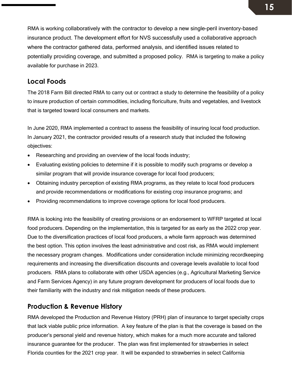RMA is working collaboratively with the contractor to develop a new single-peril inventory-based insurance product. The development effort for NVS successfully used a collaborative approach where the contractor gathered data, performed analysis, and identified issues related to potentially providing coverage, and submitted a proposed policy. RMA is targeting to make a policy available for purchase in 2023.

### <span id="page-14-0"></span>**Local Foods**

The 2018 Farm Bill directed RMA to carry out or contract a study to determine the feasibility of a policy to insure production of certain commodities, including floriculture, fruits and vegetables, and livestock that is targeted toward local consumers and markets.

In June 2020, RMA implemented a contract to assess the feasibility of insuring local food production. In January 2021, the contractor provided results of a research study that included the following objectives:

- Researching and providing an overview of the local foods industry;
- Evaluating existing policies to determine if it is possible to modify such programs or develop a similar program that will provide insurance coverage for local food producers;
- Obtaining industry perception of existing RMA programs, as they relate to local food producers and provide recommendations or modifications for existing crop insurance programs; and
- Providing recommendations to improve coverage options for local food producers.

RMA is looking into the feasibility of creating provisions or an endorsement to WFRP targeted at local food producers. Depending on the implementation, this is targeted for as early as the 2022 crop year. Due to the diversification practices of local food producers, a whole farm approach was determined the best option. This option involves the least administrative and cost risk, as RMA would implement the necessary program changes. Modifications under consideration include minimizing recordkeeping requirements and increasing the diversification discounts and coverage levels available to local food producers. RMA plans to collaborate with other USDA agencies (e.g., Agricultural Marketing Service and Farm Services Agency) in any future program development for producers of local foods due to their familiarity with the industry and risk mitigation needs of these producers.

### <span id="page-14-1"></span>**Production & Revenue History**

RMA developed the Production and Revenue History (PRH) plan of insurance to target specialty crops that lack viable public price information. A key feature of the plan is that the coverage is based on the producer's personal yield and revenue history, which makes for a much more accurate and tailored insurance guarantee for the producer. The plan was first implemented for strawberries in select Florida counties for the 2021 crop year. It will be expanded to strawberries in select California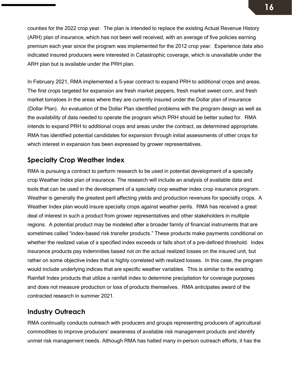counties for the 2022 crop year. The plan is intended to replace the existing Actual Revenue History (ARH) plan of insurance, which has not been well received, with an average of five policies earning premium each year since the program was implemented for the 2012 crop year. Experience data also indicated insured producers were interested in Catastrophic coverage, which is unavailable under the ARH plan but is available under the PRH plan.

In February 2021, RMA implemented a 5-year contract to expand PRH to additional crops and areas. The first crops targeted for expansion are fresh market peppers, fresh market sweet corn, and fresh market tomatoes in the areas where they are currently insured under the Dollar plan of insurance (Dollar Plan). An evaluation of the Dollar Plan identified problems with the program design as well as the availability of data needed to operate the program which PRH should be better suited for. RMA intends to expand PRH to additional crops and areas under the contract, as determined appropriate. RMA has identified potential candidates for expansion through initial assessments of other crops for which interest in expansion has been expressed by grower representatives.

### <span id="page-15-0"></span>**Specialty Crop Weather Index**

RMA is pursuing a contract to perform research to be used in potential development of a specialty crop Weather Index plan of insurance. The research will include an analysis of available data and tools that can be used in the development of a specialty crop weather index crop insurance program. Weather is generally the greatest peril affecting yields and production revenues for specialty crops. A Weather Index plan would insure specialty crops against weather perils. RMA has received a great deal of interest in such a product from grower representatives and other stakeholders in multiple regions. A potential product may be modeled after a broader family of financial instruments that are sometimes called "index-based risk transfer products." These products make payments conditional on whether the realized value of a specified index exceeds or falls short of a pre-defined threshold. Index insurance products pay indemnities based not on the actual realized losses on the insured unit, but rather on some objective index that is highly correlated with realized losses. In this case, the program would include underlying indices that are specific weather variables. This is similar to the existing Rainfall Index products that utilize a rainfall index to determine precipitation for coverage purposes and does not measure production or loss of products themselves. RMA anticipates award of the contracted research in summer 2021.

#### <span id="page-15-1"></span>**Industry Outreach**

RMA continually conducts outreach with producers and groups representing producers of agricultural commodities to improve producers' awareness of available risk management products and identify unmet risk management needs. Although RMA has halted many in-person outreach efforts, it has the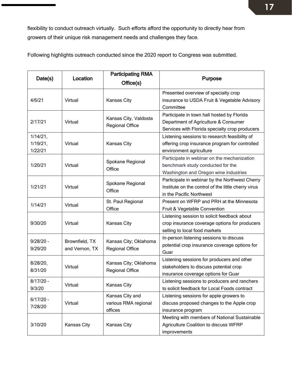flexibility to conduct outreach virtually. Such efforts afford the opportunity to directly hear from growers of their unique risk management needs and challenges they face.

Date(s) Location **Participating RMA** office(s) and the purpose of Purpose of the Purpose of the Purpose of the  $P$ 4/6/21 Virtual Kansas City Presented overview of specialty crop insurance to USDA Fruit & Vegetable Advisory **Committee** 2/17/21 Virtual Kansas City, Valdosta Regional Office Participate in town hall hosted by Florida Department of Agriculture & Consumer Services with Florida specialty crop producers 1/14/21, 1/19/21, 1/22/21 Virtual Kansas City Listening sessions to research feasibility of offering crop insurance program for controlled environment agriculture 1/20/21 <br>
Virtual Spokane Regional **Office** Participate in webinar on the mechanization benchmark study conducted for the Washington and Oregon wine industries 1/21/21 Virtual Spokane Regional **Office** Participate in webinar by the Northwest Cherry Institute on the control of the little cherry virus in the Pacific Northwest 1/14/21 Virtual St. Paul Regional **Office** Present on WFRP and PRH at the Minnesota Fruit & Vegetable Convention 9/30/20 Virtual Kansas City Listening session to solicit feedback about crop insurance coverage options for producers selling to local food markets 9/28/20 – 9/29/20 Brownfield, TX and Vernon, TX Kansas City; Oklahoma Regional Office In-person listening sessions to discuss potential crop insurance coverage options for **Guar** 8/28/20, 8/31/20 Virtual Kansas City; Oklahoma Regional Office Listening sessions for producers and other stakeholders to discuss potential crop insurance coverage options for Guar 8/17/20 – 9/3/20 Virtual Kansas City Listening sessions to producers and ranchers to solicit feedback for Local Foods contract 6/17/20 – 7/28/20 Virtual Kansas City and various RMA regional offices Listening sessions for apple growers to discuss proposed changes to the Apple crop insurance program 3/10/20 Kansas City Kansas City Meeting with members of National Sustainable Agriculture Coalition to discuss WFRP improvements

Following highlights outreach conducted since the 2020 report to Congress was submitted.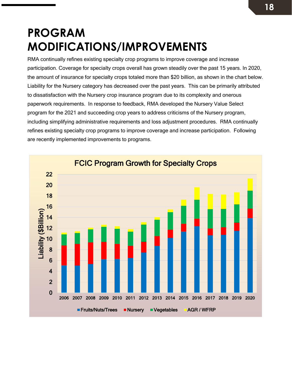# <span id="page-17-0"></span>**PROGRAM MODIFICATIONS/IMPROVEMENTS**

RMA continually refines existing specialty crop programs to improve coverage and increase participation. Coverage for specialty crops overall has grown steadily over the past 15 years. In 2020, the amount of insurance for specialty crops totaled more than \$20 billion, as shown in the chart below. Liability for the Nursery category has decreased over the past years. This can be primarily attributed to dissatisfaction with the Nursery crop insurance program due to its complexity and onerous paperwork requirements. In response to feedback, RMA developed the Nursery Value Select program for the 2021 and succeeding crop years to address criticisms of the Nursery program, including simplifying administrative requirements and loss adjustment procedures. RMA continually refines existing specialty crop programs to improve coverage and increase participation. Following are recently implemented improvements to programs.

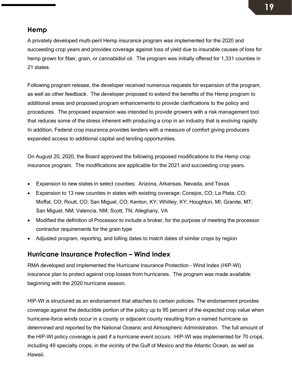#### <span id="page-18-0"></span>**Hemp**

A privately developed multi-peril Hemp insurance program was implemented for the 2020 and succeeding crop years and provides coverage against loss of yield due to insurable causes of loss for hemp grown for fiber, grain, or cannabidiol oil. The program was initially offered for 1,331 counties in 21 states.

Following program release, the developer received numerous requests for expansion of the program, as well as other feedback. The developer proposed to extend the benefits of the Hemp program to additional areas and proposed program enhancements to provide clarifications to the policy and procedures. The proposed expansion was intended to provide growers with a risk management tool that reduces some of the stress inherent with producing a crop in an industry that is evolving rapidly. In addition, Federal crop insurance provides lenders with a measure of comfort giving producers expanded access to additional capital and lending opportunities.

On August 20, 2020, the Board approved the following proposed modifications to the Hemp crop insurance program. The modifications are applicable for the 2021 and succeeding crop years.

- Expansion to new states in select counties: Arizona, Arkansas, Nevada, and Texas
- Expansion to 13 new counties in states with existing coverage: Conejos, CO; La Plata, CO; Moffat, CO; Routt, CO; San Miguel, CO; Kenton, KY; Whitley, KY; Houghton, MI; Granite, MT; San Miguel, NM; Valencia, NM; Scott, TN; Alleghany, VA
- Modified the definition of Processor to include a broker, for the purpose of meeting the processor contractor requirements for the grain type
- Adjusted program, reporting, and billing dates to match dates of similar crops by region

### <span id="page-18-1"></span>**Hurricane Insurance Protection – Wind Index**

RMA developed and implemented the Hurricane Insurance Protection – Wind Index (HIP-WI) insurance plan to protect against crop losses from hurricanes. The program was made available beginning with the 2020 hurricane season.

HIP-WI is structured as an endorsement that attaches to certain policies. The endorsement provides coverage against the deductible portion of the policy up to 95 percent of the expected crop value when hurricane-force winds occur in a county or adjacent county resulting from a named hurricane as determined and reported by the National Oceanic and Atmospheric Administration. The full amount of the HIP-WI policy coverage is paid if a hurricane event occurs. HIP-WI was implemented for 70 crops, including 49 specialty crops, in the vicinity of the Gulf of Mexico and the Atlantic Ocean, as well as Hawaii.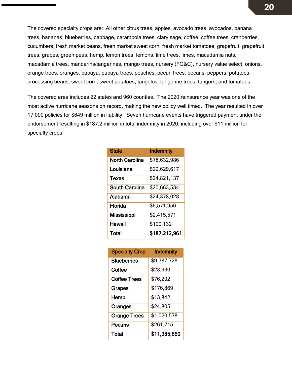The covered specialty crops are: All other citrus trees, apples, avocado trees, avocados, banana trees, bananas, blueberries, cabbage, carambola trees, clary sage, coffee, coffee trees, cranberries, cucumbers, fresh market beans, fresh market sweet corn, fresh market tomatoes, grapefruit, grapefruit trees, grapes, green peas, hemp, lemon trees, lemons, lime trees, limes, macadamia nuts, macadamia trees, mandarins/tangerines, mango trees, nursery (FG&C), nursery value select, onions, orange trees, oranges, papaya, papaya trees, peaches, pecan trees, pecans, peppers, potatoes, processing beans, sweet corn, sweet potatoes, tangelos, tangerine trees, tangors, and tomatoes.

The covered area includes 22 states and 960 counties. The 2020 reinsurance year was one of the most active hurricane seasons on record, making the new policy well timed. The year resulted in over 17,000 policies for \$649 million in liability. Seven hurricane events have triggered payment under the endorsement resulting in \$187.2 million in total indemnity in 2020, including over \$11 million for specialty crops.

| <b>State</b>          | <b>Indemnity</b> |
|-----------------------|------------------|
| North Carolina        | \$78,632,986     |
| Louisiana             | \$29,629,617     |
| <b>Texas</b>          | \$24,821,137     |
| <b>South Carolina</b> | \$20,663,534     |
| Alabama               | \$24,378,028     |
| Florida               | \$6,571,956      |
| <b>Mississippi</b>    | \$2,415,571      |
| Hawaii                | \$100,132        |
| Total                 | \$187,212,961    |

| <b>Specialty Crop</b> | <b>Indemnity</b> |
|-----------------------|------------------|
| <b>Blueberries</b>    | \$9,787,728      |
| Coffee                | \$23,930         |
| <b>Coffee Trees</b>   | \$76,202         |
| <b>Grapes</b>         | \$176,869        |
| Hemp                  | \$13,842         |
| Oranges               | \$24,805         |
| <b>Orange Trees</b>   | \$1,020,578      |
| Pecans                | \$261,715        |
| Total                 | \$11,385,669     |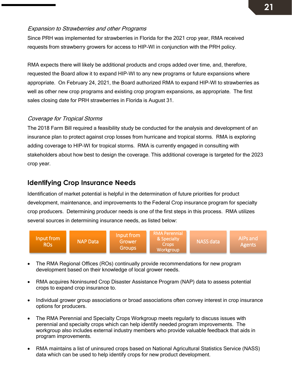#### Expansion to Strawberries and other Programs

Since PRH was implemented for strawberries in Florida for the 2021 crop year, RMA received requests from strawberry growers for access to HIP-WI in conjunction with the PRH policy.

RMA expects there will likely be additional products and crops added over time, and, therefore, requested the Board allow it to expand HIP-WI to any new programs or future expansions where appropriate. On February 24, 2021, the Board authorized RMA to expand HIP-WI to strawberries as well as other new crop programs and existing crop program expansions, as appropriate. The first sales closing date for PRH strawberries in Florida is August 31.

#### Coverage for Tropical Storms

The 2018 Farm Bill required a feasibility study be conducted for the analysis and development of an insurance plan to protect against crop losses from hurricane and tropical storms. RMA is exploring adding coverage to HIP-WI for tropical storms. RMA is currently engaged in consulting with stakeholders about how best to design the coverage. This additional coverage is targeted for the 2023 crop year.

## **Identifying Crop Insurance Needs**

Identification of market potential is helpful in the determination of future priorities for product development, maintenance, and improvements to the Federal Crop insurance program for specialty crop producers. Determining producer needs is one of the first steps in this process. RMA utilizes several sources in determining insurance needs, as listed below:



- The RMA Regional Offices (ROs) continually provide recommendations for new program development based on their knowledge of local grower needs.
- RMA acquires Noninsured Crop Disaster Assistance Program (NAP) data to assess potential crops to expand crop insurance to.
- Individual grower group associations or broad associations often convey interest in crop insurance options for producers.
- The RMA Perennial and Specialty Crops Workgroup meets regularly to discuss issues with perennial and specialty crops which can help identify needed program improvements. The workgroup also includes external industry members who provide valuable feedback that aids in program improvements.
- RMA maintains a list of uninsured crops based on National Agricultural Statistics Service (NASS) data which can be used to help identify crops for new product development.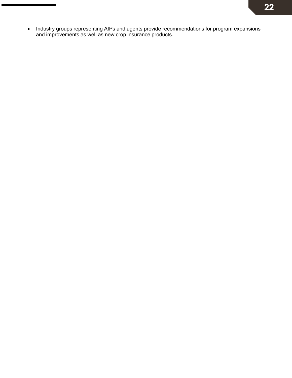• Industry groups representing AIPs and agents provide recommendations for program expansions and improvements as well as new crop insurance products.